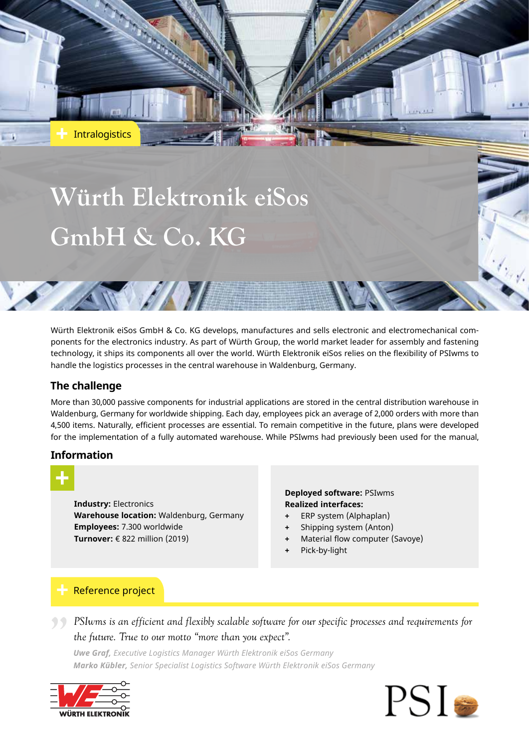# **Würth Elektronik eiSos GmbH & Co. KG**

AWANT

Würth Elektronik eiSos GmbH & Co. KG develops, manufactures and sells electronic and electromechanical components for the electronics industry. As part of Würth Group, the world market leader for assembly and fastening technology, it ships its components all over the world. Würth Elektronik eiSos relies on the flexibility of PSIwms to handle the logistics processes in the central warehouse in Waldenburg, Germany.

# **The challenge**

**Intralogistics** 

More than 30,000 passive components for industrial applications are stored in the central distribution warehouse in Waldenburg, Germany for worldwide shipping. Each day, employees pick an average of 2,000 orders with more than 4,500 items. Naturally, efficient processes are essential. To remain competitive in the future, plans were developed for the implementation of a fully automated warehouse. While PSIwms had previously been used for the manual,

# **Information**



**Industry:** Electronics **Warehouse location:** Waldenburg, Germany **Employees:** 7.300 worldwide **Turnover:** € 822 million (2019)

#### **Deployed software:** PSIwms **Realized interfaces:**

- **+** ERP system (Alphaplan)
- **+** Shipping system (Anton)
- **Material flow computer (Savoye)**
- **+** Pick-by-light

# Reference project

*PSIwms is an efficient and flexibly scalable software for our specific processes and requirements for the future. True to our motto "more than you expect".<br>
Uwe Graf Executive Logistics Manager Würth Elektronik eiSos Germ the future. True to our motto "more than you expect".*

*Uwe Graf, Executive Logistics Manager Würth Elektronik eiSos Germany Marko Kübler, Senior Specialist Logistics Software Würth Elektronik eiSos Germany*